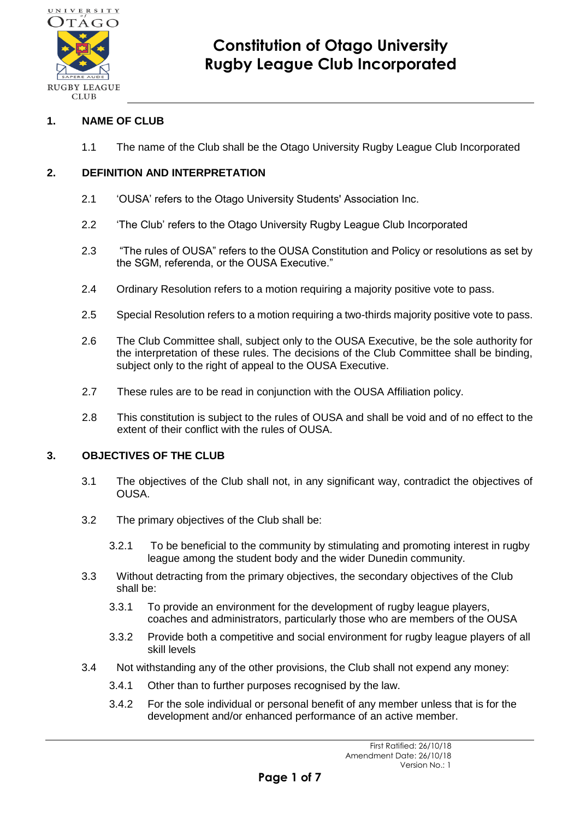

## **1. NAME OF CLUB**

1.1 The name of the Club shall be the Otago University Rugby League Club Incorporated

## **2. DEFINITION AND INTERPRETATION**

- 2.1 'OUSA' refers to the Otago University Students' Association Inc.
- 2.2 'The Club' refers to the Otago University Rugby League Club Incorporated
- 2.3 "The rules of OUSA" refers to the OUSA Constitution and Policy or resolutions as set by the SGM, referenda, or the OUSA Executive."
- 2.4 Ordinary Resolution refers to a motion requiring a majority positive vote to pass.
- 2.5 Special Resolution refers to a motion requiring a two-thirds majority positive vote to pass.
- 2.6 The Club Committee shall, subject only to the OUSA Executive, be the sole authority for the interpretation of these rules. The decisions of the Club Committee shall be binding, subject only to the right of appeal to the OUSA Executive.
- 2.7 These rules are to be read in conjunction with the OUSA Affiliation policy.
- 2.8 This constitution is subject to the rules of OUSA and shall be void and of no effect to the extent of their conflict with the rules of OUSA.

#### **3. OBJECTIVES OF THE CLUB**

- 3.1 The objectives of the Club shall not, in any significant way, contradict the objectives of OUSA.
- 3.2 The primary objectives of the Club shall be:
	- 3.2.1 To be beneficial to the community by stimulating and promoting interest in rugby league among the student body and the wider Dunedin community.
- 3.3 Without detracting from the primary objectives, the secondary objectives of the Club shall be:
	- 3.3.1 To provide an environment for the development of rugby league players, coaches and administrators, particularly those who are members of the OUSA
	- 3.3.2 Provide both a competitive and social environment for rugby league players of all skill levels
- 3.4 Not withstanding any of the other provisions, the Club shall not expend any money:
	- 3.4.1 Other than to further purposes recognised by the law.
	- 3.4.2 For the sole individual or personal benefit of any member unless that is for the development and/or enhanced performance of an active member.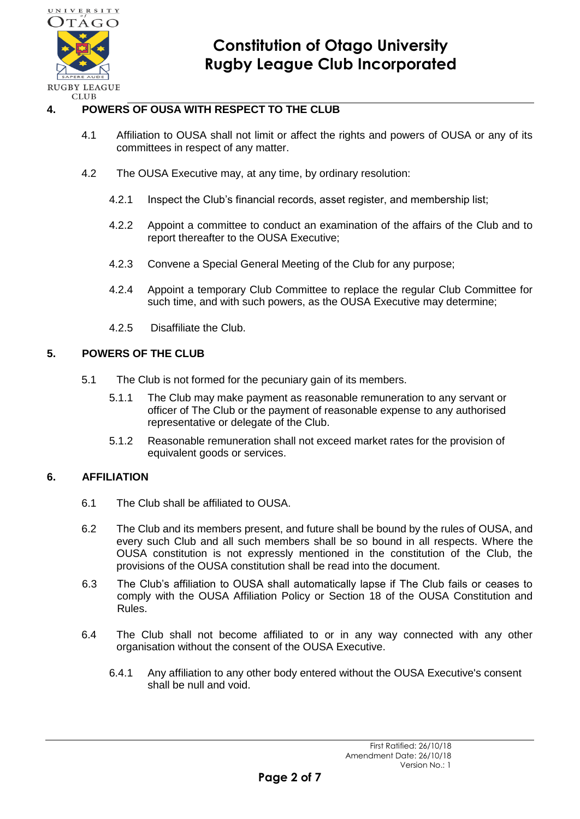

## **4. POWERS OF OUSA WITH RESPECT TO THE CLUB**

- 4.1 Affiliation to OUSA shall not limit or affect the rights and powers of OUSA or any of its committees in respect of any matter.
- 4.2 The OUSA Executive may, at any time, by ordinary resolution:
	- 4.2.1 Inspect the Club's financial records, asset register, and membership list;
	- 4.2.2 Appoint a committee to conduct an examination of the affairs of the Club and to report thereafter to the OUSA Executive;
	- 4.2.3 Convene a Special General Meeting of the Club for any purpose;
	- 4.2.4 Appoint a temporary Club Committee to replace the regular Club Committee for such time, and with such powers, as the OUSA Executive may determine;
	- 4.2.5 Disaffiliate the Club.

#### **5. POWERS OF THE CLUB**

- 5.1 The Club is not formed for the pecuniary gain of its members.
	- 5.1.1 The Club may make payment as reasonable remuneration to any servant or officer of The Club or the payment of reasonable expense to any authorised representative or delegate of the Club.
	- 5.1.2 Reasonable remuneration shall not exceed market rates for the provision of equivalent goods or services.

## **6. AFFILIATION**

- 6.1 The Club shall be affiliated to OUSA.
- 6.2 The Club and its members present, and future shall be bound by the rules of OUSA, and every such Club and all such members shall be so bound in all respects. Where the OUSA constitution is not expressly mentioned in the constitution of the Club, the provisions of the OUSA constitution shall be read into the document.
- 6.3 The Club's affiliation to OUSA shall automatically lapse if The Club fails or ceases to comply with the OUSA Affiliation Policy or Section 18 of the OUSA Constitution and Rules.
- 6.4 The Club shall not become affiliated to or in any way connected with any other organisation without the consent of the OUSA Executive.
	- 6.4.1 Any affiliation to any other body entered without the OUSA Executive's consent shall be null and void.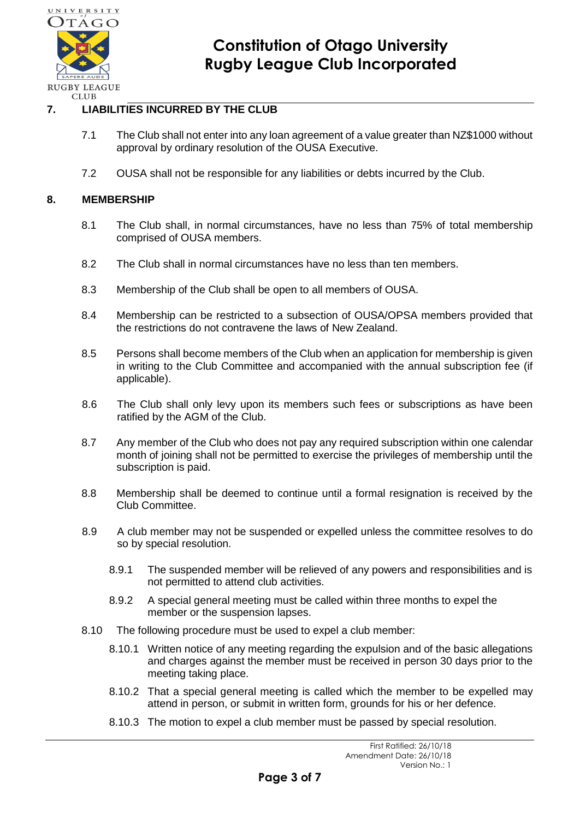

## **7. LIABILITIES INCURRED BY THE CLUB**

- 7.1 The Club shall not enter into any loan agreement of a value greater than NZ\$1000 without approval by ordinary resolution of the OUSA Executive.
- 7.2 OUSA shall not be responsible for any liabilities or debts incurred by the Club.

#### **8. MEMBERSHIP**

- 8.1 The Club shall, in normal circumstances, have no less than 75% of total membership comprised of OUSA members.
- 8.2 The Club shall in normal circumstances have no less than ten members.
- 8.3 Membership of the Club shall be open to all members of OUSA.
- 8.4 Membership can be restricted to a subsection of OUSA/OPSA members provided that the restrictions do not contravene the laws of New Zealand.
- 8.5 Persons shall become members of the Club when an application for membership is given in writing to the Club Committee and accompanied with the annual subscription fee (if applicable).
- 8.6 The Club shall only levy upon its members such fees or subscriptions as have been ratified by the AGM of the Club.
- 8.7 Any member of the Club who does not pay any required subscription within one calendar month of joining shall not be permitted to exercise the privileges of membership until the subscription is paid.
- 8.8 Membership shall be deemed to continue until a formal resignation is received by the Club Committee.
- 8.9 A club member may not be suspended or expelled unless the committee resolves to do so by special resolution.
	- 8.9.1 The suspended member will be relieved of any powers and responsibilities and is not permitted to attend club activities.
	- 8.9.2 A special general meeting must be called within three months to expel the member or the suspension lapses.
- 8.10 The following procedure must be used to expel a club member:
	- 8.10.1 Written notice of any meeting regarding the expulsion and of the basic allegations and charges against the member must be received in person 30 days prior to the meeting taking place.
	- 8.10.2 That a special general meeting is called which the member to be expelled may attend in person, or submit in written form, grounds for his or her defence.
	- 8.10.3 The motion to expel a club member must be passed by special resolution.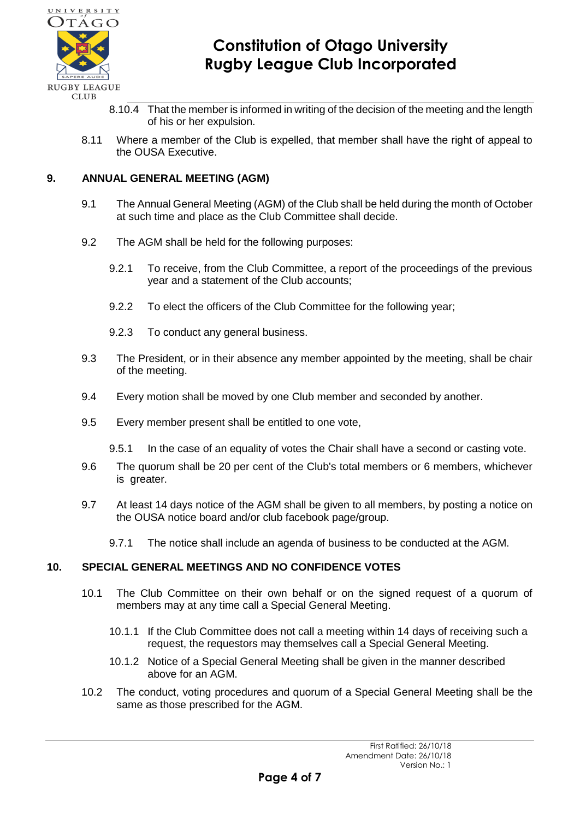

- 8.10.4 That the member is informed in writing of the decision of the meeting and the length of his or her expulsion.
- 8.11 Where a member of the Club is expelled, that member shall have the right of appeal to the OUSA Executive.

## **9. ANNUAL GENERAL MEETING (AGM)**

- 9.1 The Annual General Meeting (AGM) of the Club shall be held during the month of October at such time and place as the Club Committee shall decide.
- 9.2 The AGM shall be held for the following purposes:
	- 9.2.1 To receive, from the Club Committee, a report of the proceedings of the previous year and a statement of the Club accounts;
	- 9.2.2 To elect the officers of the Club Committee for the following year;
	- 9.2.3 To conduct any general business.
- 9.3 The President, or in their absence any member appointed by the meeting, shall be chair of the meeting.
- 9.4 Every motion shall be moved by one Club member and seconded by another.
- 9.5 Every member present shall be entitled to one vote,
	- 9.5.1 In the case of an equality of votes the Chair shall have a second or casting vote.
- 9.6 The quorum shall be 20 per cent of the Club's total members or 6 members, whichever is greater.
- 9.7 At least 14 days notice of the AGM shall be given to all members, by posting a notice on the OUSA notice board and/or club facebook page/group.
	- 9.7.1 The notice shall include an agenda of business to be conducted at the AGM.

#### **10. SPECIAL GENERAL MEETINGS AND NO CONFIDENCE VOTES**

- 10.1 The Club Committee on their own behalf or on the signed request of a quorum of members may at any time call a Special General Meeting.
	- 10.1.1 If the Club Committee does not call a meeting within 14 days of receiving such a request, the requestors may themselves call a Special General Meeting.
	- 10.1.2 Notice of a Special General Meeting shall be given in the manner described above for an AGM.
- 10.2 The conduct, voting procedures and quorum of a Special General Meeting shall be the same as those prescribed for the AGM.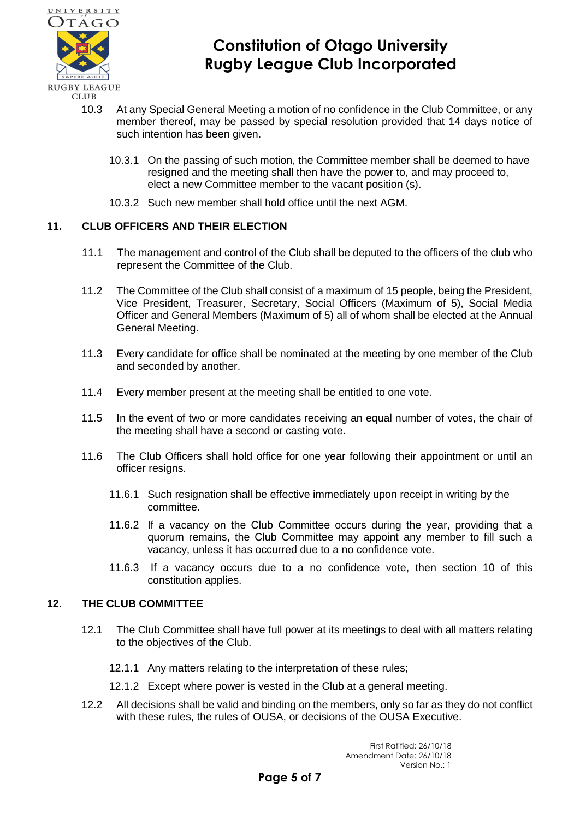

- 10.3 At any Special General Meeting a motion of no confidence in the Club Committee, or any member thereof, may be passed by special resolution provided that 14 days notice of such intention has been given.
	- 10.3.1 On the passing of such motion, the Committee member shall be deemed to have resigned and the meeting shall then have the power to, and may proceed to, elect a new Committee member to the vacant position (s).
	- 10.3.2 Such new member shall hold office until the next AGM.

## **11. CLUB OFFICERS AND THEIR ELECTION**

- 11.1 The management and control of the Club shall be deputed to the officers of the club who represent the Committee of the Club.
- 11.2 The Committee of the Club shall consist of a maximum of 15 people, being the President, Vice President, Treasurer, Secretary, Social Officers (Maximum of 5), Social Media Officer and General Members (Maximum of 5) all of whom shall be elected at the Annual General Meeting.
- 11.3 Every candidate for office shall be nominated at the meeting by one member of the Club and seconded by another.
- 11.4 Every member present at the meeting shall be entitled to one vote.
- 11.5 In the event of two or more candidates receiving an equal number of votes, the chair of the meeting shall have a second or casting vote.
- 11.6 The Club Officers shall hold office for one year following their appointment or until an officer resigns.
	- 11.6.1 Such resignation shall be effective immediately upon receipt in writing by the committee.
	- 11.6.2 If a vacancy on the Club Committee occurs during the year, providing that a quorum remains, the Club Committee may appoint any member to fill such a vacancy, unless it has occurred due to a no confidence vote.
	- 11.6.3 If a vacancy occurs due to a no confidence vote, then section 10 of this constitution applies.

## **12. THE CLUB COMMITTEE**

- 12.1 The Club Committee shall have full power at its meetings to deal with all matters relating to the objectives of the Club.
	- 12.1.1 Any matters relating to the interpretation of these rules;
	- 12.1.2 Except where power is vested in the Club at a general meeting.
- 12.2 All decisions shall be valid and binding on the members, only so far as they do not conflict with these rules, the rules of OUSA, or decisions of the OUSA Executive.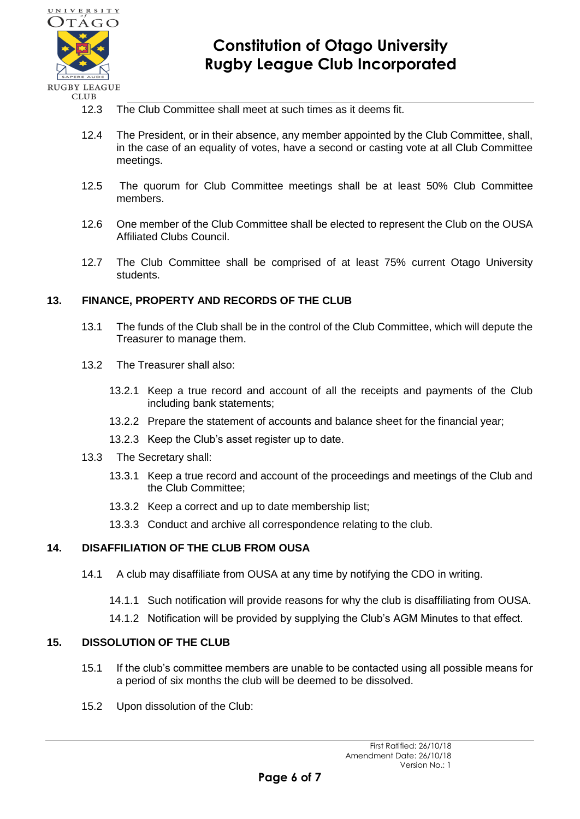

- 12.3 The Club Committee shall meet at such times as it deems fit.
- 12.4 The President, or in their absence, any member appointed by the Club Committee, shall, in the case of an equality of votes, have a second or casting vote at all Club Committee meetings.
- 12.5 The quorum for Club Committee meetings shall be at least 50% Club Committee members.
- 12.6 One member of the Club Committee shall be elected to represent the Club on the OUSA Affiliated Clubs Council.
- 12.7 The Club Committee shall be comprised of at least 75% current Otago University students.

## **13. FINANCE, PROPERTY AND RECORDS OF THE CLUB**

- 13.1 The funds of the Club shall be in the control of the Club Committee, which will depute the Treasurer to manage them.
- 13.2 The Treasurer shall also:
	- 13.2.1 Keep a true record and account of all the receipts and payments of the Club including bank statements;
	- 13.2.2 Prepare the statement of accounts and balance sheet for the financial year;
	- 13.2.3 Keep the Club's asset register up to date.
- 13.3 The Secretary shall:
	- 13.3.1 Keep a true record and account of the proceedings and meetings of the Club and the Club Committee;
	- 13.3.2 Keep a correct and up to date membership list;
	- 13.3.3 Conduct and archive all correspondence relating to the club.

## **14. DISAFFILIATION OF THE CLUB FROM OUSA**

- 14.1 A club may disaffiliate from OUSA at any time by notifying the CDO in writing.
	- 14.1.1 Such notification will provide reasons for why the club is disaffiliating from OUSA.
	- 14.1.2 Notification will be provided by supplying the Club's AGM Minutes to that effect.

#### **15. DISSOLUTION OF THE CLUB**

- 15.1 If the club's committee members are unable to be contacted using all possible means for a period of six months the club will be deemed to be dissolved.
- 15.2 Upon dissolution of the Club: